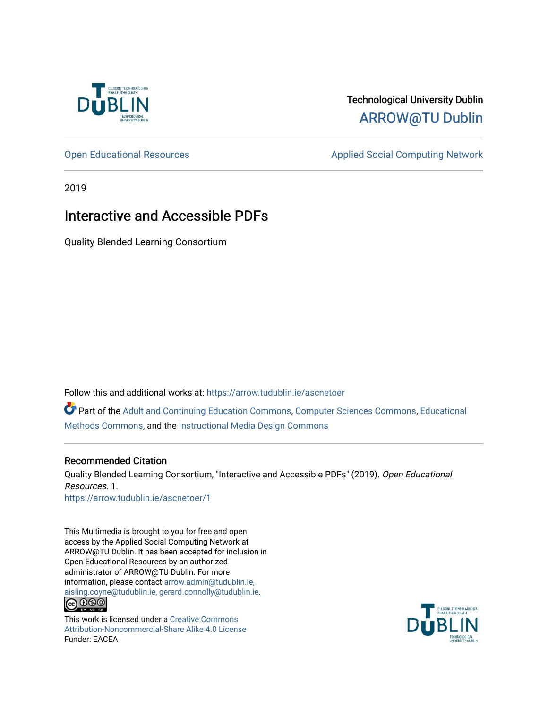

#### Technological University Dublin [ARROW@TU Dublin](https://arrow.tudublin.ie/)

[Open Educational Resources](https://arrow.tudublin.ie/ascnetoer) **Applied Social Computing Network** Applied Social Computing Network

2019

#### Interactive and Accessible PDFs

Quality Blended Learning Consortium

Follow this and additional works at: [https://arrow.tudublin.ie/ascnetoer](https://arrow.tudublin.ie/ascnetoer?utm_source=arrow.tudublin.ie%2Fascnetoer%2F1&utm_medium=PDF&utm_campaign=PDFCoverPages)

Part of the [Adult and Continuing Education Commons,](http://network.bepress.com/hgg/discipline/1375?utm_source=arrow.tudublin.ie%2Fascnetoer%2F1&utm_medium=PDF&utm_campaign=PDFCoverPages) [Computer Sciences Commons](http://network.bepress.com/hgg/discipline/142?utm_source=arrow.tudublin.ie%2Fascnetoer%2F1&utm_medium=PDF&utm_campaign=PDFCoverPages), Educational [Methods Commons,](http://network.bepress.com/hgg/discipline/1227?utm_source=arrow.tudublin.ie%2Fascnetoer%2F1&utm_medium=PDF&utm_campaign=PDFCoverPages) and the [Instructional Media Design Commons](http://network.bepress.com/hgg/discipline/795?utm_source=arrow.tudublin.ie%2Fascnetoer%2F1&utm_medium=PDF&utm_campaign=PDFCoverPages)

#### Recommended Citation

Quality Blended Learning Consortium, "Interactive and Accessible PDFs" (2019). Open Educational Resources. 1. [https://arrow.tudublin.ie/ascnetoer/1](https://arrow.tudublin.ie/ascnetoer/1?utm_source=arrow.tudublin.ie%2Fascnetoer%2F1&utm_medium=PDF&utm_campaign=PDFCoverPages)

This Multimedia is brought to you for free and open access by the Applied Social Computing Network at ARROW@TU Dublin. It has been accepted for inclusion in Open Educational Resources by an authorized administrator of ARROW@TU Dublin. For more information, please contact [arrow.admin@tudublin.ie,](mailto:arrow.admin@tudublin.ie,%20aisling.coyne@tudublin.ie,%20gerard.connolly@tudublin.ie)  [aisling.coyne@tudublin.ie, gerard.connolly@tudublin.ie](mailto:arrow.admin@tudublin.ie,%20aisling.coyne@tudublin.ie,%20gerard.connolly@tudublin.ie).  $\bigcirc$  000

This work is licensed under a [Creative Commons](http://creativecommons.org/licenses/by-nc-sa/4.0/) [Attribution-Noncommercial-Share Alike 4.0 License](http://creativecommons.org/licenses/by-nc-sa/4.0/) Funder: EACEA

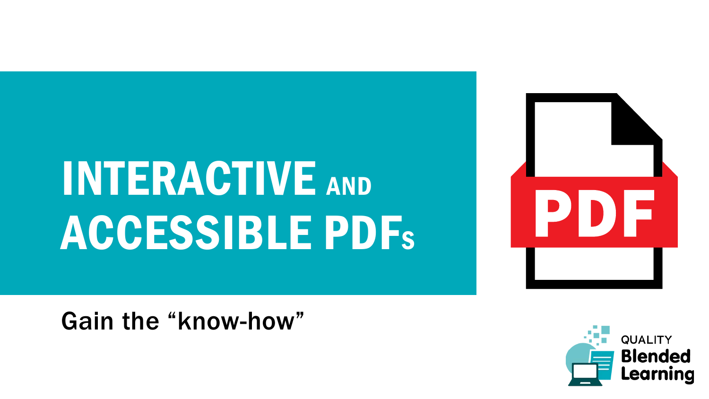# INTERACTIVE AND ACCESSIBLE PDFS



Gain the "know-how"

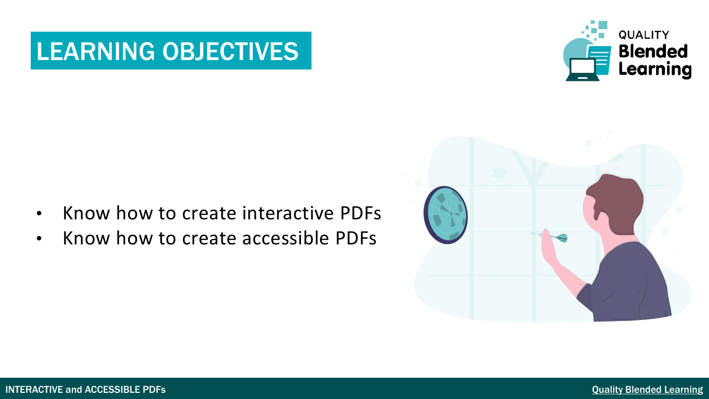### LEARNING OBJECTIVES



- 
- Know how to create interactive PDFs
- Know how to create accessible PDFs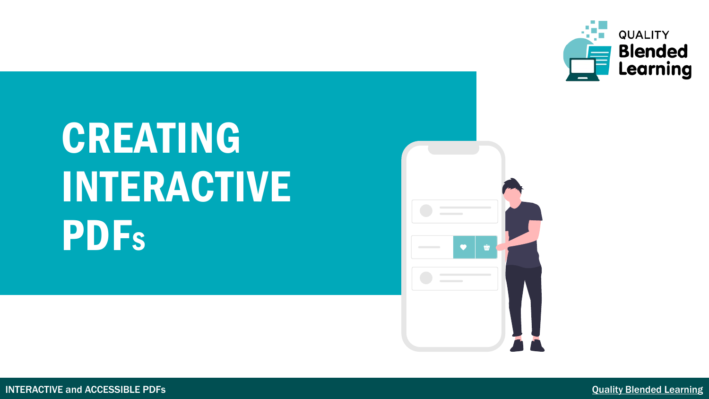

## CREATING INTERACTIVE **PDFs**



QUALITY BLENDED LEARNING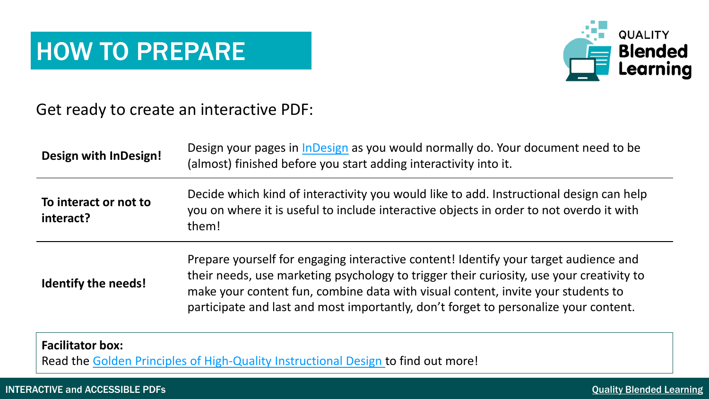### HOW TO PREPARE



Get ready to create an interactive PDF:

| Design with InDesign!              | Design your pages in InDesign as you would normally do. Your document need to be<br>(almost) finished before you start adding interactivity into it.                                                                                                                                                                                                         |
|------------------------------------|--------------------------------------------------------------------------------------------------------------------------------------------------------------------------------------------------------------------------------------------------------------------------------------------------------------------------------------------------------------|
| To interact or not to<br>interact? | Decide which kind of interactivity you would like to add. Instructional design can help<br>you on where it is useful to include interactive objects in order to not overdo it with<br>them!                                                                                                                                                                  |
| <b>Identify the needs!</b>         | Prepare yourself for engaging interactive content! Identify your target audience and<br>their needs, use marketing psychology to trigger their curiosity, use your creativity to<br>make your content fun, combine data with visual content, invite your students to<br>participate and last and most importantly, don't forget to personalize your content. |

#### **Facilitator box:**

Read the [Golden Principles of High-Quality Instructional Design](https://www.shiftelearning.com/blog/bid/344888/the-golden-rules-of-high-quality-instructional-design) to find out more!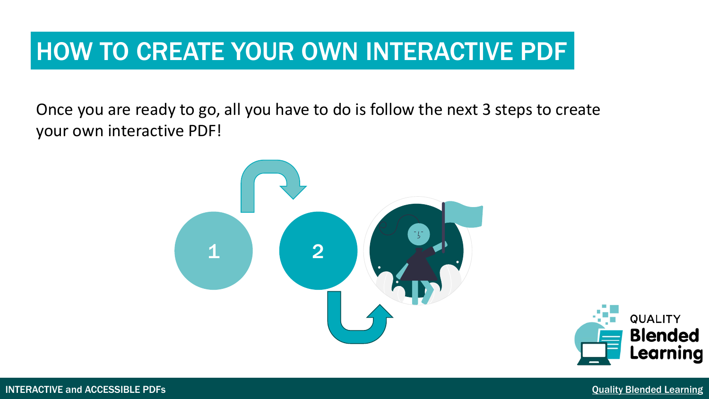### HOW TO CREATE YOUR OWN INTERACTIVE PDF

Once you are ready to go, all you have to do is follow the next 3 steps to create your own interactive PDF!



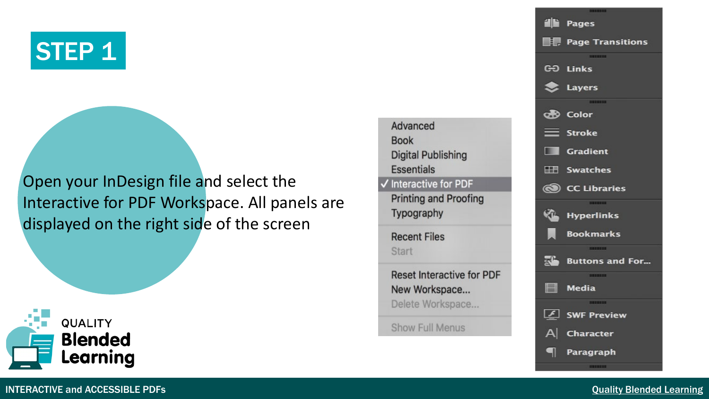## STEP<sub>1</sub>

Open your InDesign file and select the Interactive for PDF Workspace. All panels are displayed on the right side of the screen







#### INTERACTIVE and ACCESSIBLE PDFs **CONSCRIPTION** CONSCRIPTION CONSCRIPTION CONSCRIPTION CONSCRIPTION CONSCRIPTION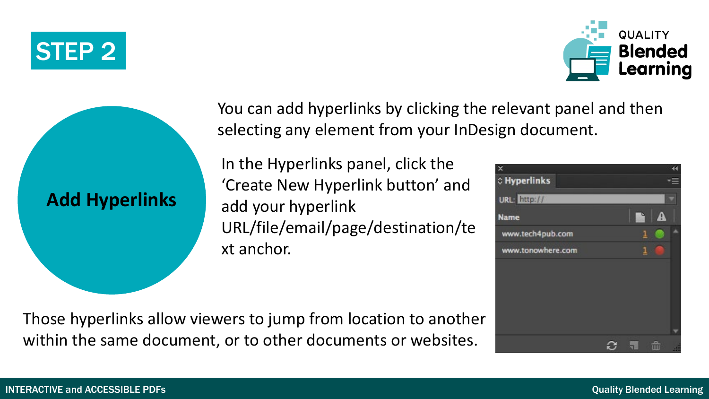### STEP 2





You can add hyperlinks by clicking the relevant panel and then selecting any element from your InDesign document.

In the Hyperlinks panel, click the 'Create New Hyperlink button' and add your hyperlink URL/file/email/page/destination/te xt anchor.

○ Hyperlinks URL: http:// **Name** www.tech4pub.com www.tonowhere.com Ø

Those hyperlinks allow viewers to jump from location to another within the same document, or to other documents or websites.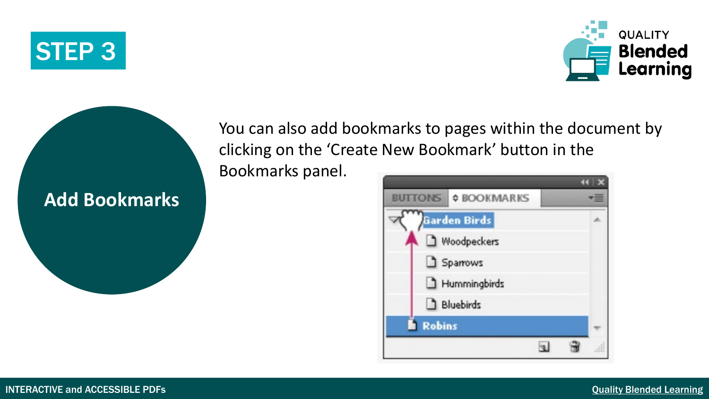





You can also add bookmarks to pages within the document by clicking on the 'Create New Bookmark' button in the

Bookmarks panel.

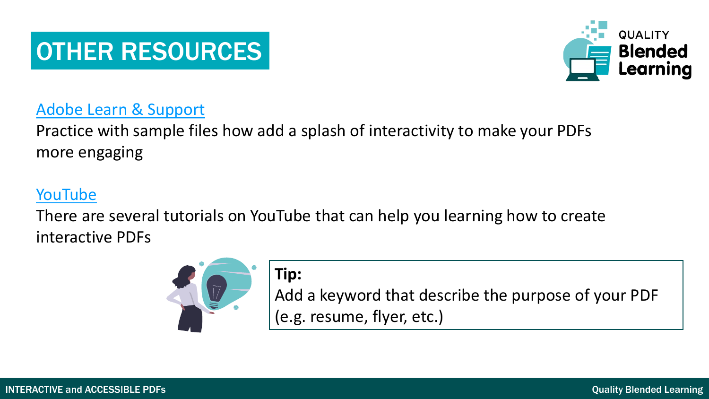### OTHER RESOURCES



#### [Adobe Learn & Support](https://helpx.adobe.com/indesign/how-to/indesign-create-interactive-pdf.html)

Practice with sample files how add a splash of interactivity to make your PDFs more engaging

#### [YouTube](https://www.youtube.com/results?search_query=interactive+pdfs+tutorial)

There are several tutorials on YouTube that can help you learning how to create interactive PDFs



#### **Tip:**

Add a keyword that describe the purpose of your PDF (e.g. resume, flyer, etc.)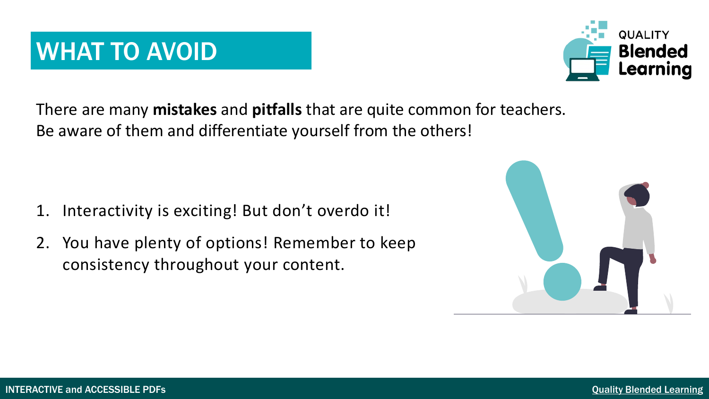There are many **mistakes** and **pitfalls** that are quite common for teachers. Be aware of them and differentiate yourself from the others!

- 1. Interactivity is exciting! But don't overdo it!
- 2. You have plenty of options! Remember to keep consistency throughout your content.





### WHAT TO AVOID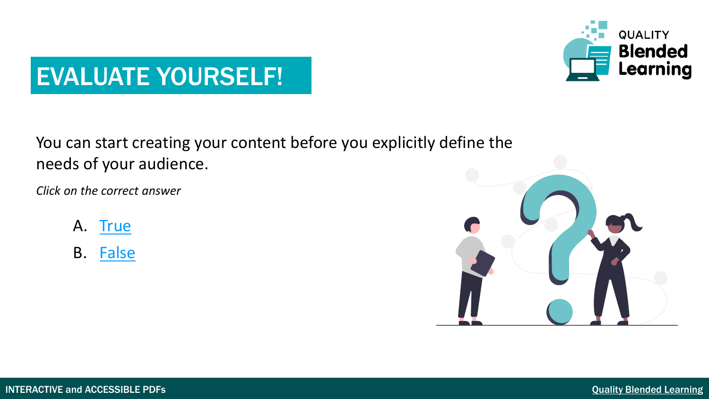

#### You can start creating your content before you explicitly define the needs of your audience.

*Click on the correct answer*

- A. [True](#page-12-0)
- B. [False](#page-13-0)

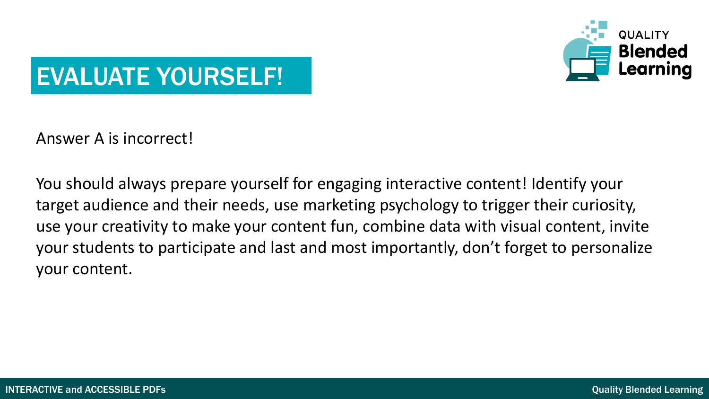

<span id="page-12-0"></span>Answer A is incorrect!

You should always prepare yourself for engaging interactive content! Identify your target audience and their needs, use marketing psychology to trigger their curiosity, use your creativity to make your content fun, combine data with visual content, invite your students to participate and last and most importantly, don't forget to personalize your content.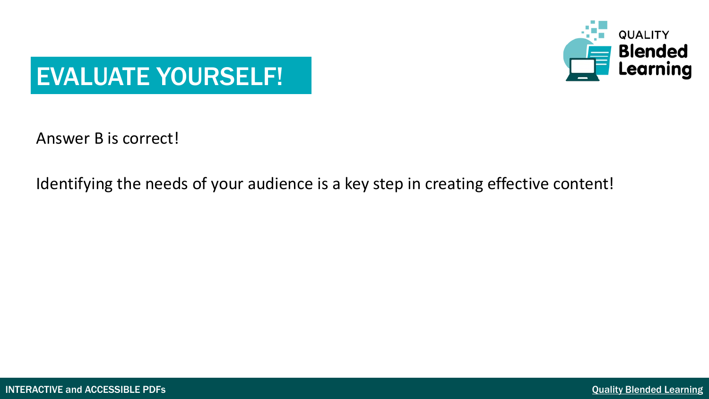

<span id="page-13-0"></span>Answer B is correct!

Identifying the needs of your audience is a key step in creating effective content!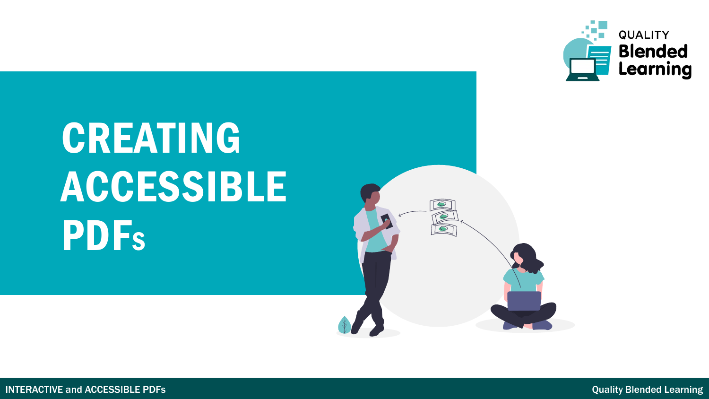

## CREATING ACCESSIBLE **PDFs**

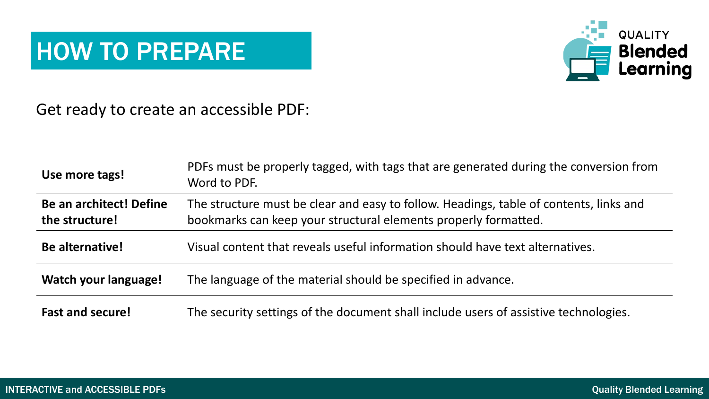### HOW TO PREPARE



Get ready to create an accessible PDF:

| Use more tags!                                   | PDFs must be properly tagged, with tags that are generated during the conversion from<br>Word to PDF.                                                     |  |  |  |
|--------------------------------------------------|-----------------------------------------------------------------------------------------------------------------------------------------------------------|--|--|--|
| <b>Be an architect! Define</b><br>the structure! | The structure must be clear and easy to follow. Headings, table of contents, links and<br>bookmarks can keep your structural elements properly formatted. |  |  |  |
| Be alternative!                                  | Visual content that reveals useful information should have text alternatives.                                                                             |  |  |  |
| Watch your language!                             | The language of the material should be specified in advance.                                                                                              |  |  |  |
| <b>Fast and secure!</b>                          | The security settings of the document shall include users of assistive technologies.                                                                      |  |  |  |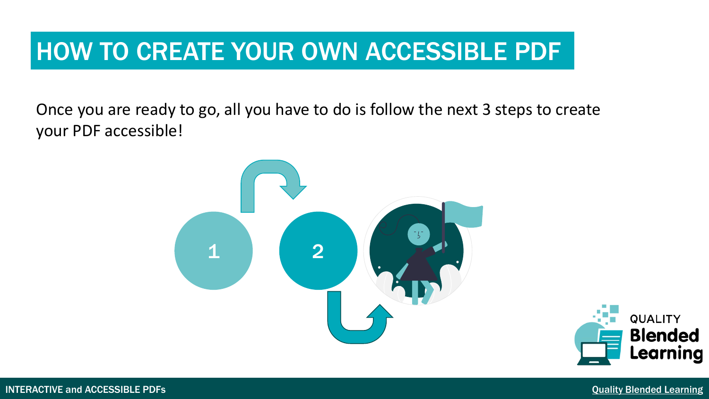### HOW TO CREATE YOUR OWN ACCESSIBLE PDF

Once you are ready to go, all you have to do is follow the next 3 steps to create your PDF accessible!



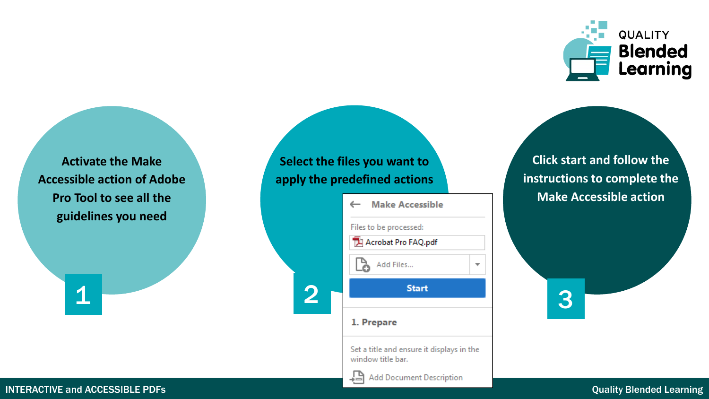

**Activate the Make Accessible action of Adobe Pro Tool to see all the guidelines you need**

#### **Select the files you want to apply the predefined actions**

| Tool to see all the | <b>Make Accessible</b><br>$\leftarrow$        |                          | Make, |
|---------------------|-----------------------------------------------|--------------------------|-------|
| delines you need    | Files to be processed:<br>Acrobat Pro FAQ.pdf |                          |       |
|                     | Add Files<br>አ                                | $\overline{\phantom{a}}$ |       |
| $\sqrt{2}$          | <b>Start</b>                                  |                          | 3     |
|                     | 1. Prepare                                    |                          |       |
|                     | Cat a title and encues it directors in the    |                          |       |

Set a title and ensure it displays in the window title bar.

17 **Add Document Description** 

**Click start and follow the instructions to complete the Make Accessible action**



INTERACTIVE and ACCESSIBLE PDFs **CONSCRIPTION** CONSCRIPTION CONSCRIPTION CONSCRIPTION CONSCRIPTION CONSCRIPTION CONSCRIPTION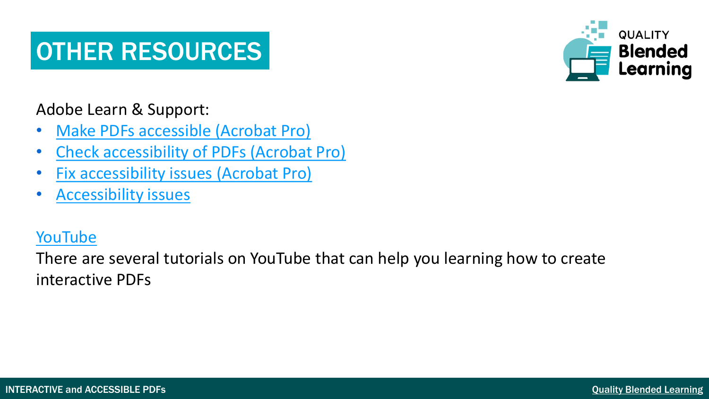### OTHER RESOURCES

**QUALITY Blended** Learning

Adobe Learn & Support:

- [Make PDFs accessible \(Acrobat Pro\)](https://helpx.adobe.com/acrobat/using/create-verify-pdf-accessibility.html#make_PDFs_accessible)
- [Check accessibility of PDFs \(Acrobat Pro\)](https://helpx.adobe.com/acrobat/using/create-verify-pdf-accessibility.html#check_accessibility_of_PDFs)
- **[Fix accessibility issues \(Acrobat Pro\)](https://helpx.adobe.com/acrobat/using/create-verify-pdf-accessibility.html#fix_accessibility_issues)**
- [Accessibility issues](https://helpx.adobe.com/acrobat/using/create-verify-pdf-accessibility.html#accessibility_issues)

#### [YouTube](https://www.youtube.com/results?search_query=CREATE+accessible+pdf)

There are several tutorials on YouTube that can help you learning how to create interactive PDFs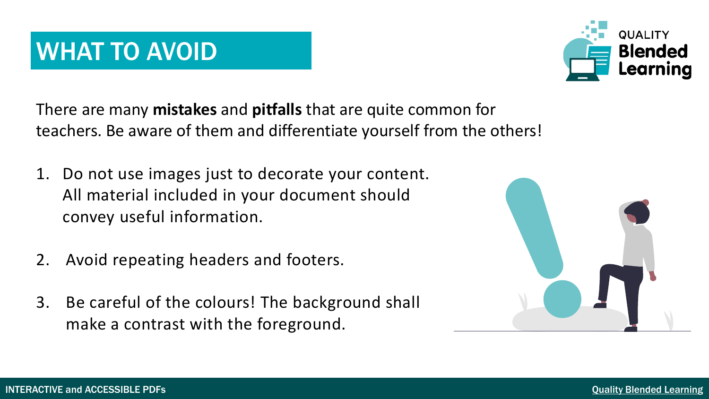### WHAT TO AVOID

There are many **mistakes** and **pitfalls** that are quite common for teachers. Be aware of them and differentiate yourself from the others!

- 1. Do not use images just to decorate your content. All material included in your document should convey useful information.
- 2. Avoid repeating headers and footers.
- 3. Be careful of the colours! The background shall make a contrast with the foreground.



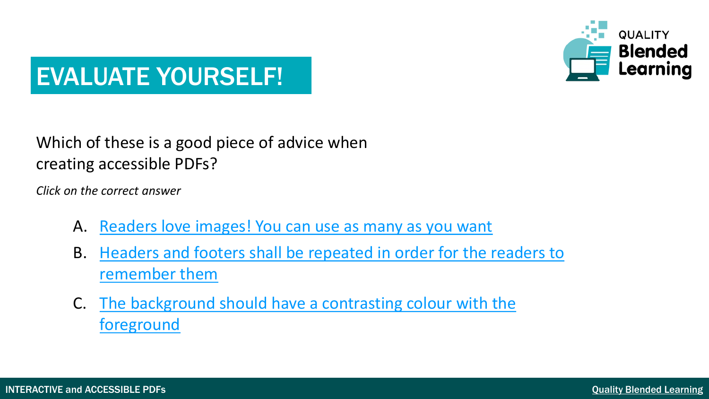

#### Which of these is a good piece of advice when creating accessible PDFs?

*Click on the correct answer*

- A. [Readers love images! You can use as many as you want](#page-21-0)
- B. [Headers and footers shall be repeated in order for the readers to](#page-22-0) remember them
- C. [The background should have a contrasting colour](#page-23-0) with the foreground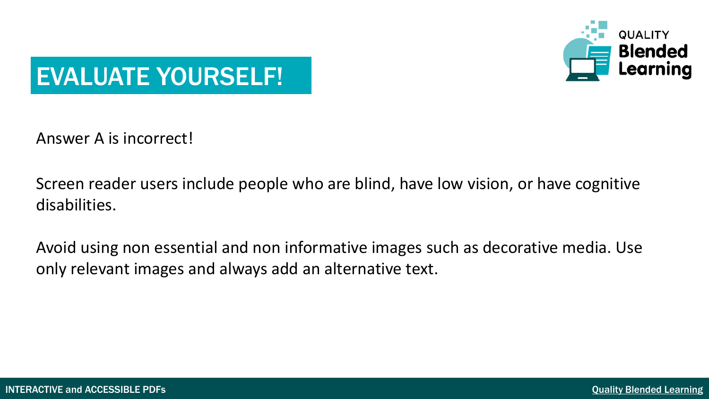

<span id="page-21-0"></span>Answer A is incorrect!

Screen reader users include people who are blind, have low vision, or have cognitive disabilities.

Avoid using non essential and non informative images such as decorative media. Use only relevant images and always add an alternative text.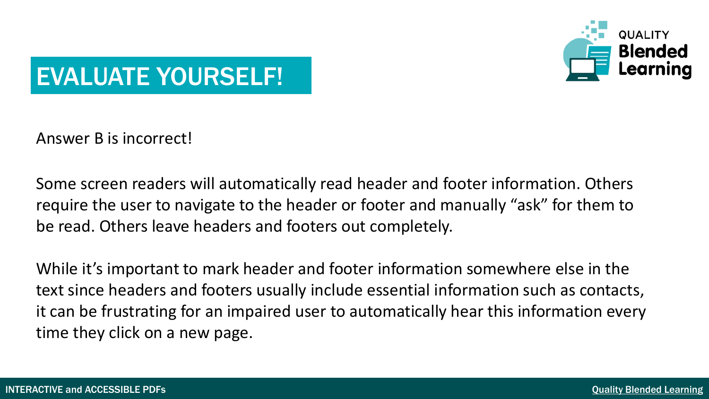

<span id="page-22-0"></span>Answer B is incorrect!

Some screen readers will automatically read header and footer information. Others require the user to navigate to the header or footer and manually "ask" for them to be read. Others leave headers and footers out completely.

While it's important to mark header and footer information somewhere else in the text since headers and footers usually include essential information such as contacts, it can be frustrating for an impaired user to automatically hear this information every time they click on a new page.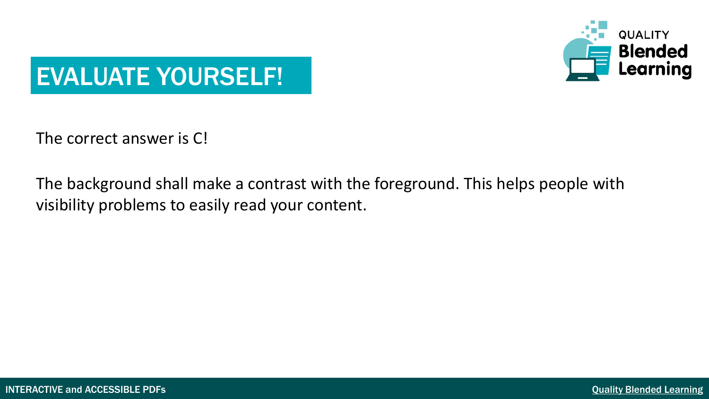

<span id="page-23-0"></span>The correct answer is C!

The background shall make a contrast with the foreground. This helps people with visibility problems to easily read your content.